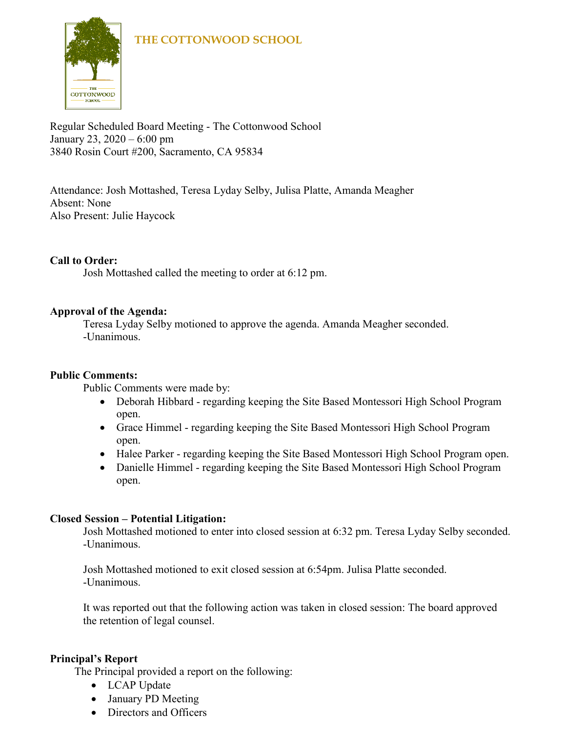

Regular Scheduled Board Meeting - The Cottonwood School January 23, 2020 – 6:00 pm 3840 Rosin Court #200, Sacramento, CA 95834

Attendance: Josh Mottashed, Teresa Lyday Selby, Julisa Platte, Amanda Meagher Absent: None Also Present: Julie Haycock

# **Call to Order:**

Josh Mottashed called the meeting to order at 6:12 pm.

# **Approval of the Agenda:**

Teresa Lyday Selby motioned to approve the agenda. Amanda Meagher seconded. -Unanimous.

# **Public Comments:**

Public Comments were made by:

- Deborah Hibbard regarding keeping the Site Based Montessori High School Program open.
- Grace Himmel regarding keeping the Site Based Montessori High School Program open.
- Halee Parker regarding keeping the Site Based Montessori High School Program open.
- Danielle Himmel regarding keeping the Site Based Montessori High School Program open.

# **Closed Session – Potential Litigation:**

Josh Mottashed motioned to enter into closed session at 6:32 pm. Teresa Lyday Selby seconded. -Unanimous.

Josh Mottashed motioned to exit closed session at 6:54pm. Julisa Platte seconded. -Unanimous.

It was reported out that the following action was taken in closed session: The board approved the retention of legal counsel.

# **Principal's Report**

The Principal provided a report on the following:

- LCAP Update
- January PD Meeting
- Directors and Officers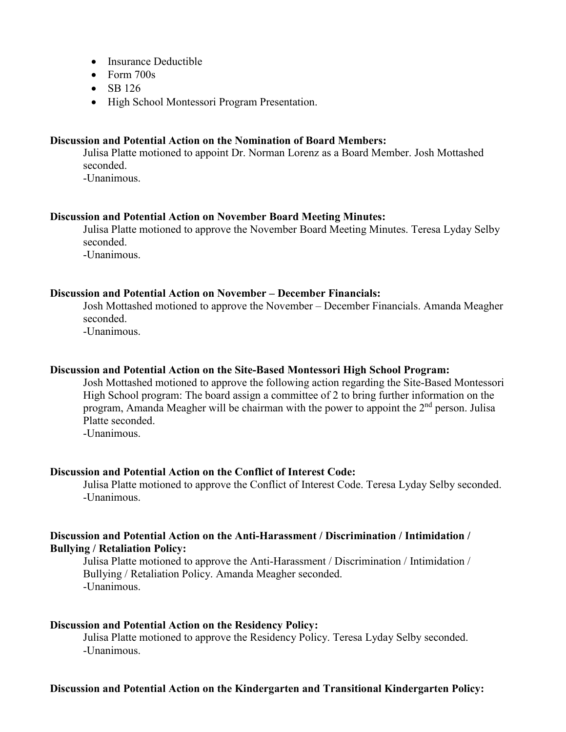- Insurance Deductible
- Form 700s
- SB 126
- High School Montessori Program Presentation.

#### **Discussion and Potential Action on the Nomination of Board Members:**

Julisa Platte motioned to appoint Dr. Norman Lorenz as a Board Member. Josh Mottashed seconded.

-Unanimous.

#### **Discussion and Potential Action on November Board Meeting Minutes:**

Julisa Platte motioned to approve the November Board Meeting Minutes. Teresa Lyday Selby seconded.

-Unanimous.

#### **Discussion and Potential Action on November – December Financials:**

Josh Mottashed motioned to approve the November – December Financials. Amanda Meagher seconded.

-Unanimous.

# **Discussion and Potential Action on the Site-Based Montessori High School Program:**

Josh Mottashed motioned to approve the following action regarding the Site-Based Montessori High School program: The board assign a committee of 2 to bring further information on the program, Amanda Meagher will be chairman with the power to appoint the  $2<sup>nd</sup>$  person. Julisa Platte seconded.

-Unanimous.

# **Discussion and Potential Action on the Conflict of Interest Code:**

Julisa Platte motioned to approve the Conflict of Interest Code. Teresa Lyday Selby seconded. -Unanimous.

## **Discussion and Potential Action on the Anti-Harassment / Discrimination / Intimidation / Bullying / Retaliation Policy:**

Julisa Platte motioned to approve the Anti-Harassment / Discrimination / Intimidation / Bullying / Retaliation Policy. Amanda Meagher seconded. -Unanimous.

# **Discussion and Potential Action on the Residency Policy:**

Julisa Platte motioned to approve the Residency Policy. Teresa Lyday Selby seconded. -Unanimous.

# **Discussion and Potential Action on the Kindergarten and Transitional Kindergarten Policy:**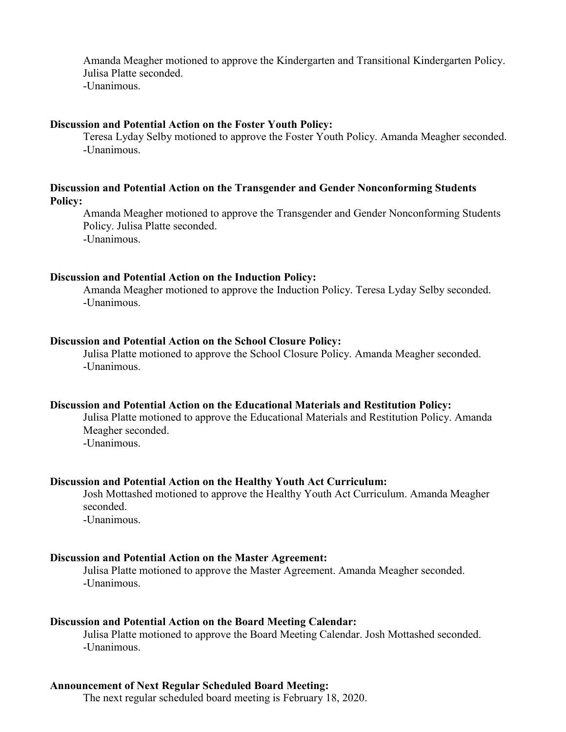Amanda Meagher motioned to approve the Kindergarten and Transitional Kindergarten Policy. Julisa Platte seconded. -Unanimous.

#### **Discussion and Potential Action on the Foster Youth Policy:**

Teresa Lyday Selby motioned to approve the Foster Youth Policy. Amanda Meagher seconded. -Unanimous.

## **Discussion and Potential Action on the Transgender and Gender Nonconforming Students Policy:**

Amanda Meagher motioned to approve the Transgender and Gender Nonconforming Students Policy. Julisa Platte seconded. -Unanimous.

#### **Discussion and Potential Action on the Induction Policy:**

Amanda Meagher motioned to approve the Induction Policy. Teresa Lyday Selby seconded. -Unanimous.

#### **Discussion and Potential Action on the School Closure Policy:**

Julisa Platte motioned to approve the School Closure Policy. Amanda Meagher seconded. -Unanimous.

#### **Discussion and Potential Action on the Educational Materials and Restitution Policy:**

Julisa Platte motioned to approve the Educational Materials and Restitution Policy. Amanda Meagher seconded. -Unanimous.

#### **Discussion and Potential Action on the Healthy Youth Act Curriculum:**

Josh Mottashed motioned to approve the Healthy Youth Act Curriculum. Amanda Meagher seconded.

-Unanimous.

#### **Discussion and Potential Action on the Master Agreement:**

Julisa Platte motioned to approve the Master Agreement. Amanda Meagher seconded. -Unanimous.

#### **Discussion and Potential Action on the Board Meeting Calendar:**

Julisa Platte motioned to approve the Board Meeting Calendar. Josh Mottashed seconded. -Unanimous.

#### **Announcement of Next Regular Scheduled Board Meeting:**

The next regular scheduled board meeting is February 18, 2020.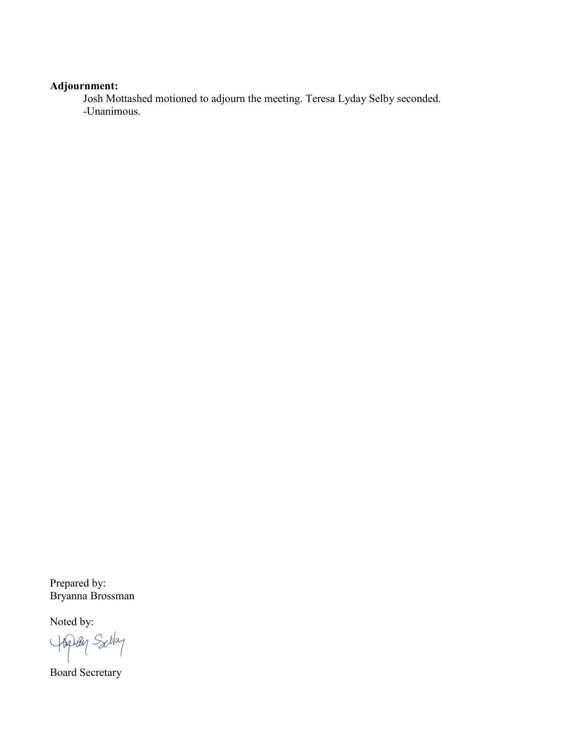# **Adjournment:**

Josh Mottashed motioned to adjourn the meeting. Teresa Lyday Selby seconded. -Unanimous.

Prepared by: Bryanna Brossman

Noted by:

Hipay Salt

Board Secretary